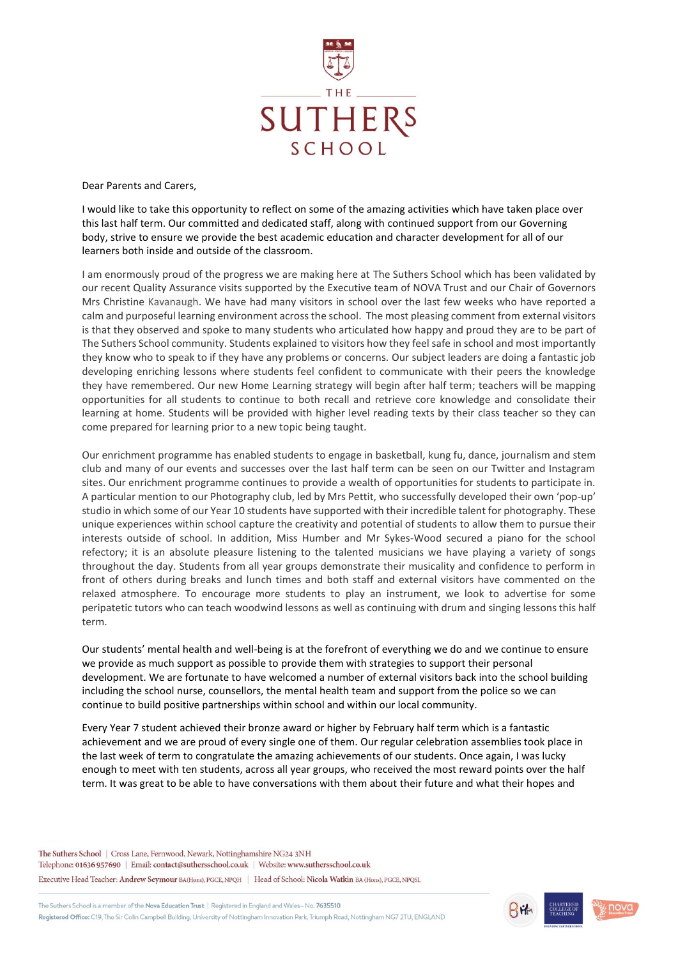

Dear Parents and Carers,

I would like to take this opportunity to reflect on some of the amazing activities which have taken place over this last half term. Our committed and dedicated staff, along with continued support from our Governing body, strive to ensure we provide the best academic education and character development for all of our learners both inside and outside of the classroom.

I am enormously proud of the progress we are making here at The Suthers School which has been validated by our recent Quality Assurance visits supported by the Executive team of NOVA Trust and our Chair of Governors Mrs Christine Kavanaugh. We have had many visitors in school over the last few weeks who have reported a calm and purposeful learning environment across the school. The most pleasing comment from external visitors is that they observed and spoke to many students who articulated how happy and proud they are to be part of The Suthers School community. Students explained to visitors how they feel safe in school and most importantly they know who to speak to if they have any problems or concerns. Our subject leaders are doing a fantastic job developing enriching lessons where students feel confident to communicate with their peers the knowledge they have remembered. Our new Home Learning strategy will begin after half term; teachers will be mapping opportunities for all students to continue to both recall and retrieve core knowledge and consolidate their learning at home. Students will be provided with higher level reading texts by their class teacher so they can come prepared for learning prior to a new topic being taught.

Our enrichment programme has enabled students to engage in basketball, kung fu, dance, journalism and stem club and many of our events and successes over the last half term can be seen on our Twitter and Instagram sites. Our enrichment programme continues to provide a wealth of opportunities for students to participate in. A particular mention to our Photography club, led by Mrs Pettit, who successfully developed their own 'pop-up' studio in which some of our Year 10 students have supported with their incredible talent for photography. These unique experiences within school capture the creativity and potential of students to allow them to pursue their interests outside of school. In addition, Miss Humber and Mr Sykes-Wood secured a piano for the school refectory; it is an absolute pleasure listening to the talented musicians we have playing a variety of songs throughout the day. Students from all year groups demonstrate their musicality and confidence to perform in front of others during breaks and lunch times and both staff and external visitors have commented on the relaxed atmosphere. To encourage more students to play an instrument, we look to advertise for some peripatetic tutors who can teach woodwind lessons as well as continuing with drum and singing lessons this half term.

Our students' mental health and well-being is at the forefront of everything we do and we continue to ensure we provide as much support as possible to provide them with strategies to support their personal development. We are fortunate to have welcomed a number of external visitors back into the school building including the school nurse, counsellors, the mental health team and support from the police so we can continue to build positive partnerships within school and within our local community.

Every Year 7 student achieved their bronze award or higher by February half term which is a fantastic achievement and we are proud of every single one of them. Our regular celebration assemblies took place in the last week of term to congratulate the amazing achievements of our students. Once again, I was lucky enough to meet with ten students, across all year groups, who received the most reward points over the half term. It was great to be able to have conversations with them about their future and what their hopes and

The Suthers School | Cross Lane, Fernwood, Newark, Nottinghamshire NG24 3NH Telephone: 01636 957690 | Email: contact@suthersschool.co.uk | Website: www.suthersschool.co.uk Executive Head Teacher: Andrew Seymour BA(Hons), PGCE, NPQH | Head of School: Nicola Watkin BA (Hons), PGCE, NPQSL

The Suthers School is a member of the Nova Education Trust | Registered in England and Wales-No. 7635510 Registered Office: C19, The Sir Colin Campbell Building, University of Nottingham Innovation Park, Triumph Road, Nottingham NG7 2TU, ENGLAND



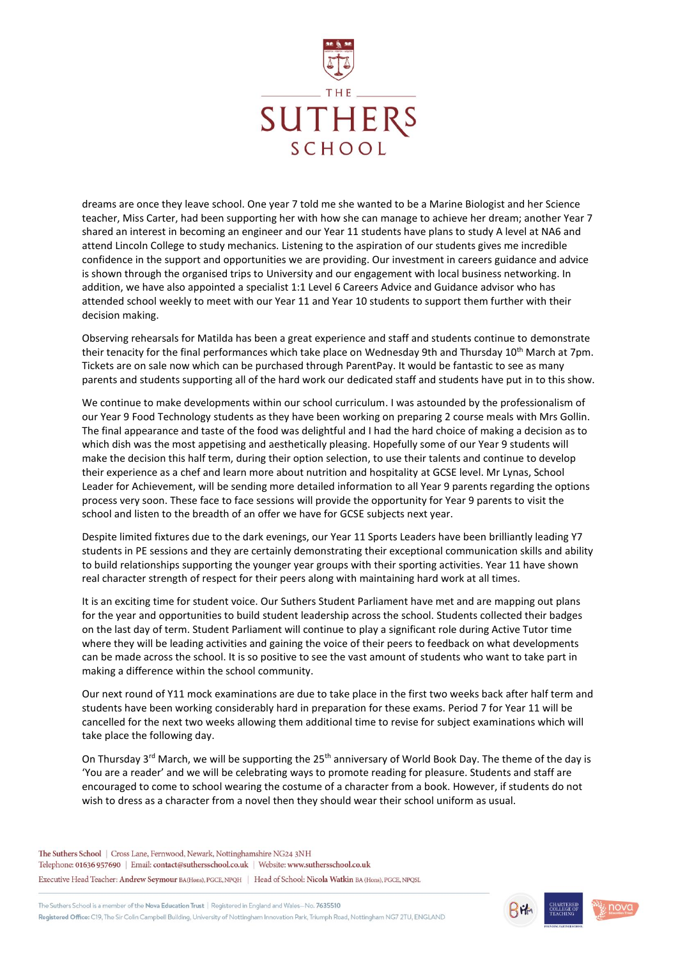

dreams are once they leave school. One year 7 told me she wanted to be a Marine Biologist and her Science teacher, Miss Carter, had been supporting her with how she can manage to achieve her dream; another Year 7 shared an interest in becoming an engineer and our Year 11 students have plans to study A level at NA6 and attend Lincoln College to study mechanics. Listening to the aspiration of our students gives me incredible confidence in the support and opportunities we are providing. Our investment in careers guidance and advice is shown through the organised trips to University and our engagement with local business networking. In addition, we have also appointed a specialist 1:1 Level 6 Careers Advice and Guidance advisor who has attended school weekly to meet with our Year 11 and Year 10 students to support them further with their decision making.

Observing rehearsals for Matilda has been a great experience and staff and students continue to demonstrate their tenacity for the final performances which take place on Wednesday 9th and Thursday 10<sup>th</sup> March at 7pm. Tickets are on sale now which can be purchased through ParentPay. It would be fantastic to see as many parents and students supporting all of the hard work our dedicated staff and students have put in to this show.

We continue to make developments within our school curriculum. I was astounded by the professionalism of our Year 9 Food Technology students as they have been working on preparing 2 course meals with Mrs Gollin. The final appearance and taste of the food was delightful and I had the hard choice of making a decision as to which dish was the most appetising and aesthetically pleasing. Hopefully some of our Year 9 students will make the decision this half term, during their option selection, to use their talents and continue to develop their experience as a chef and learn more about nutrition and hospitality at GCSE level. Mr Lynas, School Leader for Achievement, will be sending more detailed information to all Year 9 parents regarding the options process very soon. These face to face sessions will provide the opportunity for Year 9 parents to visit the school and listen to the breadth of an offer we have for GCSE subjects next year.

Despite limited fixtures due to the dark evenings, our Year 11 Sports Leaders have been brilliantly leading Y7 students in PE sessions and they are certainly demonstrating their exceptional communication skills and ability to build relationships supporting the younger year groups with their sporting activities. Year 11 have shown real character strength of respect for their peers along with maintaining hard work at all times.

It is an exciting time for student voice. Our Suthers Student Parliament have met and are mapping out plans for the year and opportunities to build student leadership across the school. Students collected their badges on the last day of term. Student Parliament will continue to play a significant role during Active Tutor time where they will be leading activities and gaining the voice of their peers to feedback on what developments can be made across the school. It is so positive to see the vast amount of students who want to take part in making a difference within the school community.

Our next round of Y11 mock examinations are due to take place in the first two weeks back after half term and students have been working considerably hard in preparation for these exams. Period 7 for Year 11 will be cancelled for the next two weeks allowing them additional time to revise for subject examinations which will take place the following day.

On Thursday 3<sup>rd</sup> March, we will be supporting the 25<sup>th</sup> anniversary of World Book Day. The theme of the day is 'You are a reader' and we will be celebrating ways to promote reading for pleasure. Students and staff are encouraged to come to school wearing the costume of a character from a book. However, if students do not wish to dress as a character from a novel then they should wear their school uniform as usual.

The Suthers School | Cross Lane, Fernwood, Newark, Nottinghamshire NG24 3NH Telephone: 01636 957690 | Email: contact@suthersschool.co.uk | Website: www.suthersschool.co.uk Executive Head Teacher: Andrew Seymour BA(Hons), PGCE, NPQH | Head of School: Nicola Watkin BA (Hons), PGCE, NPQSL

The Suthers School is a member of the Nova Education Trust | Registered in England and Wales-No. 7635510 Registered Office: C19, The Sir Colin Campbell Building, University of Nottingham Innovation Park, Triumph Road, Nottingham NG7 2TU, ENGLAND